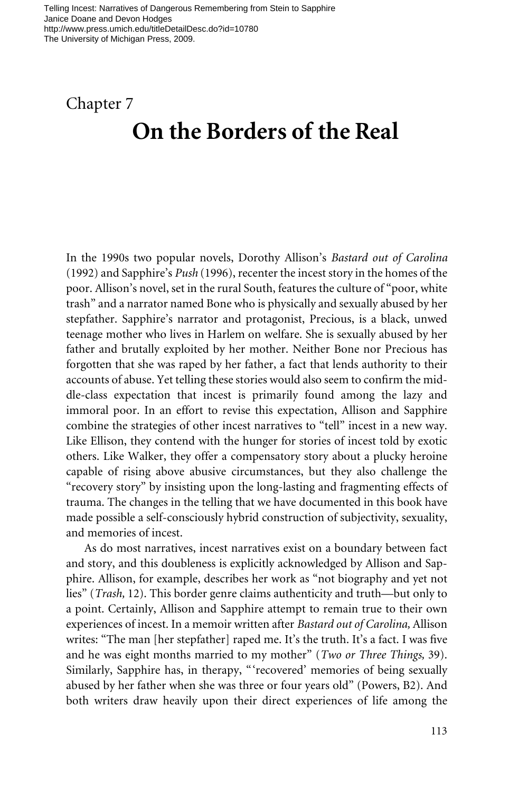Telling Incest: Narratives of Dangerous Remembering from Stein to Sapphire Janice Doane and Devon Hodges http://www.press.umich.edu/titleDetailDesc.do?id=10780 The University of Michigan Press, 2009.

## Chapter 7 **On the Borders of the Real**

In the 1990s two popular novels, Dorothy Allison's *Bastard out of Carolina* (1992) and Sapphire's *Push* (1996), recenter the incest story in the homes of the poor. Allison's novel, set in the rural South, features the culture of "poor, white trash" and a narrator named Bone who is physically and sexually abused by her stepfather. Sapphire's narrator and protagonist, Precious, is a black, unwed teenage mother who lives in Harlem on welfare. She is sexually abused by her father and brutally exploited by her mother. Neither Bone nor Precious has forgotten that she was raped by her father, a fact that lends authority to their accounts of abuse. Yet telling these stories would also seem to confirm the middle-class expectation that incest is primarily found among the lazy and immoral poor. In an effort to revise this expectation, Allison and Sapphire combine the strategies of other incest narratives to "tell" incest in a new way. Like Ellison, they contend with the hunger for stories of incest told by exotic others. Like Walker, they offer a compensatory story about a plucky heroine capable of rising above abusive circumstances, but they also challenge the "recovery story" by insisting upon the long-lasting and fragmenting effects of trauma. The changes in the telling that we have documented in this book have made possible a self-consciously hybrid construction of subjectivity, sexuality, and memories of incest.

As do most narratives, incest narratives exist on a boundary between fact and story, and this doubleness is explicitly acknowledged by Allison and Sapphire. Allison, for example, describes her work as "not biography and yet not lies" (*Trash,* 12). This border genre claims authenticity and truth—but only to a point. Certainly, Allison and Sapphire attempt to remain true to their own experiences of incest. In a memoir written after *Bastard out of Carolina,* Allison writes: "The man [her stepfather] raped me. It's the truth. It's a fact. I was five and he was eight months married to my mother" (*Two or Three Things,* 39). Similarly, Sapphire has, in therapy, "'recovered' memories of being sexually abused by her father when she was three or four years old" (Powers, B2). And both writers draw heavily upon their direct experiences of life among the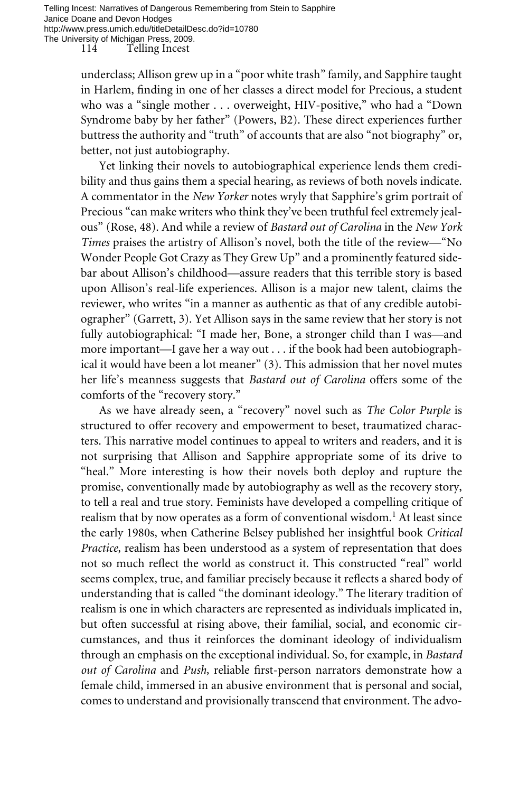underclass; Allison grew up in a "poor white trash" family, and Sapphire taught in Harlem, finding in one of her classes a direct model for Precious, a student who was a "single mother . . . overweight, HIV-positive," who had a "Down Syndrome baby by her father" (Powers, B2). These direct experiences further buttress the authority and "truth" of accounts that are also "not biography" or, better, not just autobiography.

Yet linking their novels to autobiographical experience lends them credibility and thus gains them a special hearing, as reviews of both novels indicate. A commentator in the *New Yorker* notes wryly that Sapphire's grim portrait of Precious "can make writers who think they've been truthful feel extremely jealous" (Rose, 48). And while a review of *Bastard out of Carolina* in the *New York Times* praises the artistry of Allison's novel, both the title of the review—"No Wonder People Got Crazy as They Grew Up" and a prominently featured sidebar about Allison's childhood—assure readers that this terrible story is based upon Allison's real-life experiences. Allison is a major new talent, claims the reviewer, who writes "in a manner as authentic as that of any credible autobiographer" (Garrett, 3). Yet Allison says in the same review that her story is not fully autobiographical: "I made her, Bone, a stronger child than I was—and more important—I gave her a way out . . . if the book had been autobiographical it would have been a lot meaner" (3). This admission that her novel mutes her life's meanness suggests that *Bastard out of Carolina* offers some of the comforts of the "recovery story."

As we have already seen, a "recovery" novel such as *The Color Purple* is structured to offer recovery and empowerment to beset, traumatized characters. This narrative model continues to appeal to writers and readers, and it is not surprising that Allison and Sapphire appropriate some of its drive to "heal." More interesting is how their novels both deploy and rupture the promise, conventionally made by autobiography as well as the recovery story, to tell a real and true story. Feminists have developed a compelling critique of realism that by now operates as a form of conventional wisdom.<sup>1</sup> At least since the early 1980s, when Catherine Belsey published her insightful book *Critical Practice,* realism has been understood as a system of representation that does not so much reflect the world as construct it. This constructed "real" world seems complex, true, and familiar precisely because it reflects a shared body of understanding that is called "the dominant ideology." The literary tradition of realism is one in which characters are represented as individuals implicated in, but often successful at rising above, their familial, social, and economic circumstances, and thus it reinforces the dominant ideology of individualism through an emphasis on the exceptional individual. So, for example, in *Bastard out of Carolina* and *Push*, reliable first-person narrators demonstrate how a female child, immersed in an abusive environment that is personal and social, comes to understand and provisionally transcend that environment. The advo-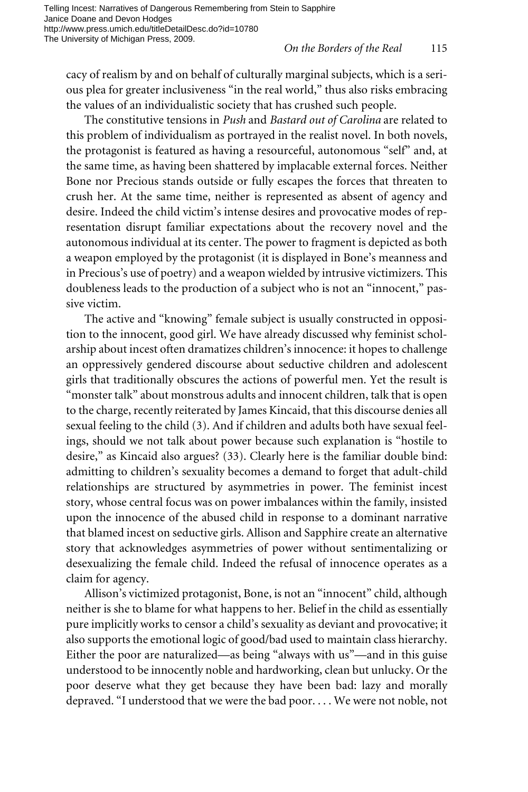cacy of realism by and on behalf of culturally marginal subjects, which is a serious plea for greater inclusiveness "in the real world," thus also risks embracing the values of an individualistic society that has crushed such people.

The constitutive tensions in *Push* and *Bastard out of Carolina* are related to this problem of individualism as portrayed in the realist novel. In both novels, the protagonist is featured as having a resourceful, autonomous "self" and, at the same time, as having been shattered by implacable external forces. Neither Bone nor Precious stands outside or fully escapes the forces that threaten to crush her. At the same time, neither is represented as absent of agency and desire. Indeed the child victim's intense desires and provocative modes of representation disrupt familiar expectations about the recovery novel and the autonomous individual at its center. The power to fragment is depicted as both a weapon employed by the protagonist (it is displayed in Bone's meanness and in Precious's use of poetry) and a weapon wielded by intrusive victimizers. This doubleness leads to the production of a subject who is not an "innocent," passive victim.

The active and "knowing" female subject is usually constructed in opposition to the innocent, good girl. We have already discussed why feminist scholarship about incest often dramatizes children's innocence: it hopes to challenge an oppressively gendered discourse about seductive children and adolescent girls that traditionally obscures the actions of powerful men. Yet the result is "monster talk" about monstrous adults and innocent children, talk that is open to the charge, recently reiterated by James Kincaid, that this discourse denies all sexual feeling to the child (3). And if children and adults both have sexual feelings, should we not talk about power because such explanation is "hostile to desire," as Kincaid also argues? (33). Clearly here is the familiar double bind: admitting to children's sexuality becomes a demand to forget that adult-child relationships are structured by asymmetries in power. The feminist incest story, whose central focus was on power imbalances within the family, insisted upon the innocence of the abused child in response to a dominant narrative that blamed incest on seductive girls. Allison and Sapphire create an alternative story that acknowledges asymmetries of power without sentimentalizing or desexualizing the female child. Indeed the refusal of innocence operates as a claim for agency.

Allison's victimized protagonist, Bone, is not an "innocent" child, although neither is she to blame for what happens to her. Belief in the child as essentially pure implicitly works to censor a child's sexuality as deviant and provocative; it also supports the emotional logic of good/bad used to maintain class hierarchy. Either the poor are naturalized—as being "always with us"—and in this guise understood to be innocently noble and hardworking, clean but unlucky. Or the poor deserve what they get because they have been bad: lazy and morally depraved. "I understood that we were the bad poor. . . . We were not noble, not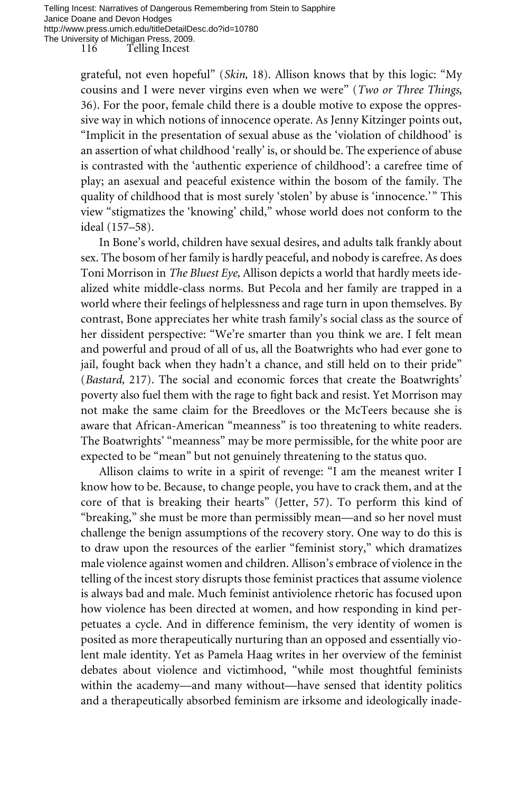116 Telling Incest Telling Incest: Narratives of Dangerous Remembering from Stein to Sapphire Janice Doane and Devon Hodges http://www.press.umich.edu/titleDetailDesc.do?id=10780 The University of Michigan Press, 2009.

> grateful, not even hopeful" (*Skin,* 18). Allison knows that by this logic: "My cousins and I were never virgins even when we were" (*Two or Three Things,* 36). For the poor, female child there is a double motive to expose the oppressive way in which notions of innocence operate. As Jenny Kitzinger points out, "Implicit in the presentation of sexual abuse as the 'violation of childhood' is an assertion of what childhood 'really' is, or should be. The experience of abuse is contrasted with the 'authentic experience of childhood': a carefree time of play; an asexual and peaceful existence within the bosom of the family. The quality of childhood that is most surely 'stolen' by abuse is 'innocence.'" This view "stigmatizes the 'knowing' child," whose world does not conform to the ideal (157–58).

> In Bone's world, children have sexual desires, and adults talk frankly about sex. The bosom of her family is hardly peaceful, and nobody is carefree. As does Toni Morrison in *The Bluest Eye,* Allison depicts a world that hardly meets idealized white middle-class norms. But Pecola and her family are trapped in a world where their feelings of helplessness and rage turn in upon themselves. By contrast, Bone appreciates her white trash family's social class as the source of her dissident perspective: "We're smarter than you think we are. I felt mean and powerful and proud of all of us, all the Boatwrights who had ever gone to jail, fought back when they hadn't a chance, and still held on to their pride" (*Bastard,* 217). The social and economic forces that create the Boatwrights' poverty also fuel them with the rage to fight back and resist. Yet Morrison may not make the same claim for the Breedloves or the McTeers because she is aware that African-American "meanness" is too threatening to white readers. The Boatwrights' "meanness" may be more permissible, for the white poor are expected to be "mean" but not genuinely threatening to the status quo.

> Allison claims to write in a spirit of revenge: "I am the meanest writer I know how to be. Because, to change people, you have to crack them, and at the core of that is breaking their hearts" (Jetter, 57). To perform this kind of "breaking," she must be more than permissibly mean—and so her novel must challenge the benign assumptions of the recovery story. One way to do this is to draw upon the resources of the earlier "feminist story," which dramatizes male violence against women and children. Allison's embrace of violence in the telling of the incest story disrupts those feminist practices that assume violence is always bad and male. Much feminist antiviolence rhetoric has focused upon how violence has been directed at women, and how responding in kind perpetuates a cycle. And in difference feminism, the very identity of women is posited as more therapeutically nurturing than an opposed and essentially violent male identity. Yet as Pamela Haag writes in her overview of the feminist debates about violence and victimhood, "while most thoughtful feminists within the academy—and many without—have sensed that identity politics and a therapeutically absorbed feminism are irksome and ideologically inade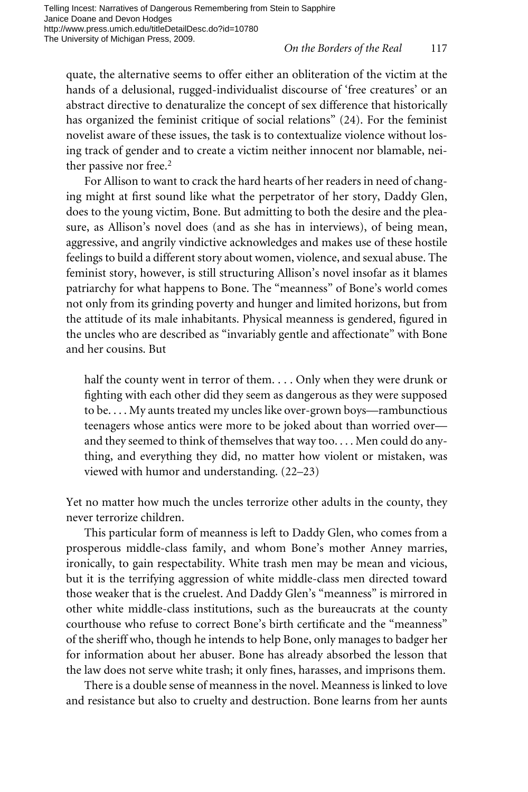quate, the alternative seems to offer either an obliteration of the victim at the hands of a delusional, rugged-individualist discourse of 'free creatures' or an abstract directive to denaturalize the concept of sex difference that historically has organized the feminist critique of social relations" (24). For the feminist novelist aware of these issues, the task is to contextualize violence without losing track of gender and to create a victim neither innocent nor blamable, neither passive nor free.<sup>2</sup>

For Allison to want to crack the hard hearts of her readers in need of changing might at first sound like what the perpetrator of her story, Daddy Glen, does to the young victim, Bone. But admitting to both the desire and the pleasure, as Allison's novel does (and as she has in interviews), of being mean, aggressive, and angrily vindictive acknowledges and makes use of these hostile feelings to build a different story about women, violence, and sexual abuse. The feminist story, however, is still structuring Allison's novel insofar as it blames patriarchy for what happens to Bone. The "meanness" of Bone's world comes not only from its grinding poverty and hunger and limited horizons, but from the attitude of its male inhabitants. Physical meanness is gendered, figured in the uncles who are described as "invariably gentle and affectionate" with Bone and her cousins. But

half the county went in terror of them. . . . Only when they were drunk or fighting with each other did they seem as dangerous as they were supposed to be. . . . My aunts treated my uncles like over-grown boys—rambunctious teenagers whose antics were more to be joked about than worried over and they seemed to think of themselves that way too. . . . Men could do anything, and everything they did, no matter how violent or mistaken, was viewed with humor and understanding. (22–23)

Yet no matter how much the uncles terrorize other adults in the county, they never terrorize children.

This particular form of meanness is left to Daddy Glen, who comes from a prosperous middle-class family, and whom Bone's mother Anney marries, ironically, to gain respectability. White trash men may be mean and vicious, but it is the terrifying aggression of white middle-class men directed toward those weaker that is the cruelest. And Daddy Glen's "meanness" is mirrored in other white middle-class institutions, such as the bureaucrats at the county courthouse who refuse to correct Bone's birth certificate and the "meanness" of the sheriff who, though he intends to help Bone, only manages to badger her for information about her abuser. Bone has already absorbed the lesson that the law does not serve white trash; it only fines, harasses, and imprisons them.

There is a double sense of meanness in the novel. Meanness is linked to love and resistance but also to cruelty and destruction. Bone learns from her aunts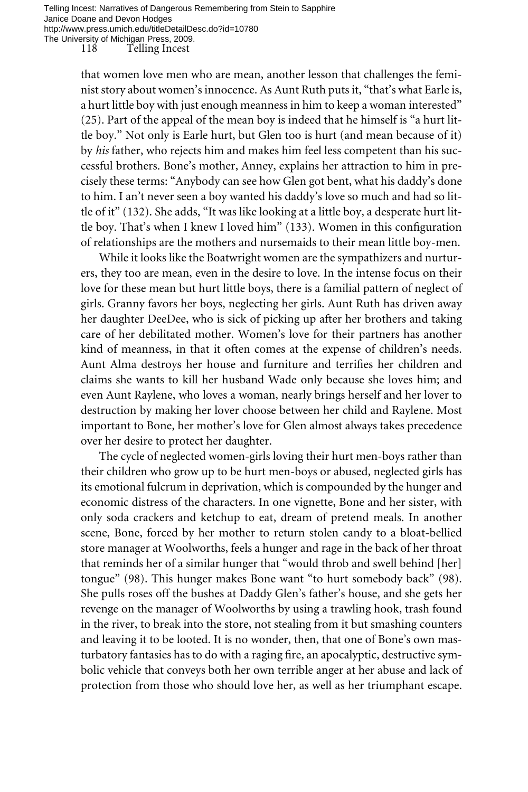that women love men who are mean, another lesson that challenges the feminist story about women's innocence. As Aunt Ruth puts it, "that's what Earle is, a hurt little boy with just enough meanness in him to keep a woman interested" (25). Part of the appeal of the mean boy is indeed that he himself is "a hurt little boy." Not only is Earle hurt, but Glen too is hurt (and mean because of it) by *his* father, who rejects him and makes him feel less competent than his successful brothers. Bone's mother, Anney, explains her attraction to him in precisely these terms: "Anybody can see how Glen got bent, what his daddy's done to him. I an't never seen a boy wanted his daddy's love so much and had so little of it" (132). She adds, "It was like looking at a little boy, a desperate hurt little boy. That's when I knew I loved him" (133). Women in this configuration of relationships are the mothers and nursemaids to their mean little boy-men.

While it looks like the Boatwright women are the sympathizers and nurturers, they too are mean, even in the desire to love. In the intense focus on their love for these mean but hurt little boys, there is a familial pattern of neglect of girls. Granny favors her boys, neglecting her girls. Aunt Ruth has driven away her daughter DeeDee, who is sick of picking up after her brothers and taking care of her debilitated mother. Women's love for their partners has another kind of meanness, in that it often comes at the expense of children's needs. Aunt Alma destroys her house and furniture and terrifies her children and claims she wants to kill her husband Wade only because she loves him; and even Aunt Raylene, who loves a woman, nearly brings herself and her lover to destruction by making her lover choose between her child and Raylene. Most important to Bone, her mother's love for Glen almost always takes precedence over her desire to protect her daughter.

The cycle of neglected women-girls loving their hurt men-boys rather than their children who grow up to be hurt men-boys or abused, neglected girls has its emotional fulcrum in deprivation, which is compounded by the hunger and economic distress of the characters. In one vignette, Bone and her sister, with only soda crackers and ketchup to eat, dream of pretend meals. In another scene, Bone, forced by her mother to return stolen candy to a bloat-bellied store manager at Woolworths, feels a hunger and rage in the back of her throat that reminds her of a similar hunger that "would throb and swell behind [her] tongue" (98). This hunger makes Bone want "to hurt somebody back" (98). She pulls roses off the bushes at Daddy Glen's father's house, and she gets her revenge on the manager of Woolworths by using a trawling hook, trash found in the river, to break into the store, not stealing from it but smashing counters and leaving it to be looted. It is no wonder, then, that one of Bone's own masturbatory fantasies has to do with a raging fire, an apocalyptic, destructive symbolic vehicle that conveys both her own terrible anger at her abuse and lack of protection from those who should love her, as well as her triumphant escape.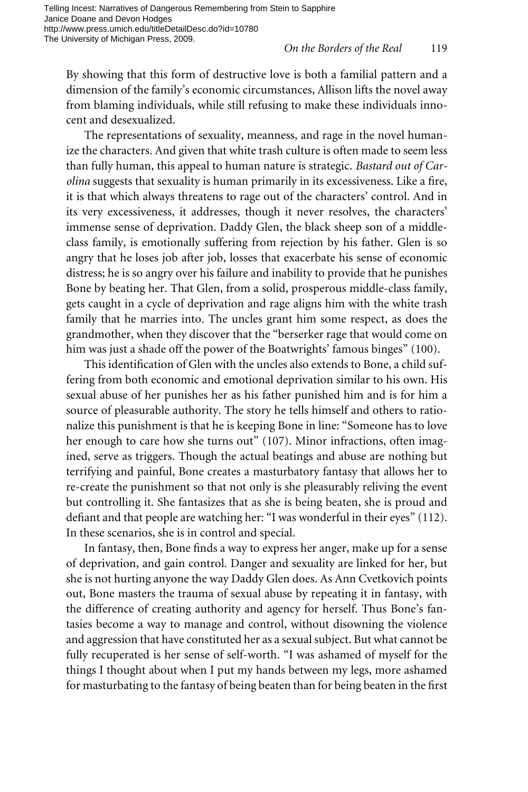Telling Incest: Narratives of Dangerous Remembering from Stein to Sapphire Janice Doane and Devon Hodges http://www.press.umich.edu/titleDetailDesc.do?id=10780 The University of Michigan Press, 2009.

## *On the Borders of the Real* 119

By showing that this form of destructive love is both a familial pattern and a dimension of the family's economic circumstances, Allison lifts the novel away from blaming individuals, while still refusing to make these individuals innocent and desexualized.

The representations of sexuality, meanness, and rage in the novel humanize the characters. And given that white trash culture is often made to seem less than fully human, this appeal to human nature is strategic. *Bastard out of Carolina* suggests that sexuality is human primarily in its excessiveness. Like a fire, it is that which always threatens to rage out of the characters' control. And in its very excessiveness, it addresses, though it never resolves, the characters' immense sense of deprivation. Daddy Glen, the black sheep son of a middleclass family, is emotionally suffering from rejection by his father. Glen is so angry that he loses job after job, losses that exacerbate his sense of economic distress; he is so angry over his failure and inability to provide that he punishes Bone by beating her. That Glen, from a solid, prosperous middle-class family, gets caught in a cycle of deprivation and rage aligns him with the white trash family that he marries into. The uncles grant him some respect, as does the grandmother, when they discover that the "berserker rage that would come on him was just a shade off the power of the Boatwrights' famous binges" (100).

This identification of Glen with the uncles also extends to Bone, a child suffering from both economic and emotional deprivation similar to his own. His sexual abuse of her punishes her as his father punished him and is for him a source of pleasurable authority. The story he tells himself and others to rationalize this punishment is that he is keeping Bone in line: "Someone has to love her enough to care how she turns out" (107). Minor infractions, often imagined, serve as triggers. Though the actual beatings and abuse are nothing but terrifying and painful, Bone creates a masturbatory fantasy that allows her to re-create the punishment so that not only is she pleasurably reliving the event but controlling it. She fantasizes that as she is being beaten, she is proud and defiant and that people are watching her: "I was wonderful in their eyes" (112). In these scenarios, she is in control and special.

In fantasy, then, Bone finds a way to express her anger, make up for a sense of deprivation, and gain control. Danger and sexuality are linked for her, but she is not hurting anyone the way Daddy Glen does. As Ann Cvetkovich points out, Bone masters the trauma of sexual abuse by repeating it in fantasy, with the difference of creating authority and agency for herself. Thus Bone's fantasies become a way to manage and control, without disowning the violence and aggression that have constituted her as a sexual subject. But what cannot be fully recuperated is her sense of self-worth. "I was ashamed of myself for the things I thought about when I put my hands between my legs, more ashamed for masturbating to the fantasy of being beaten than for being beaten in the first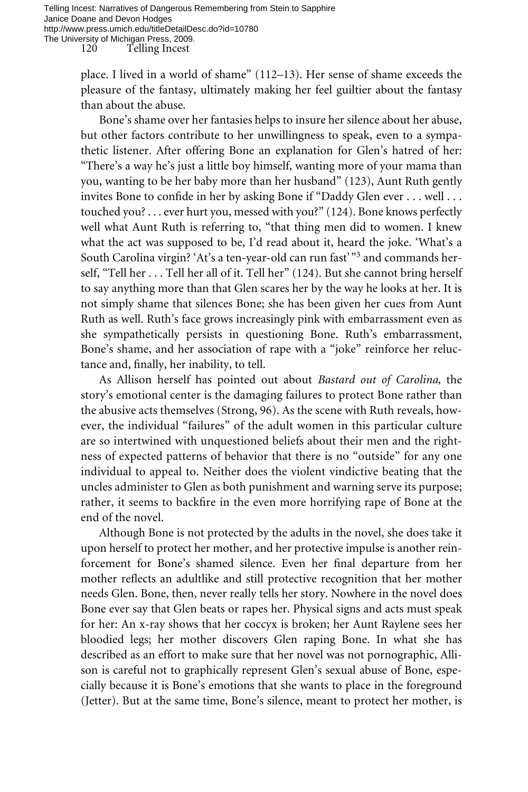120 Telling Incest Telling Incest: Narratives of Dangerous Remembering from Stein to Sapphire Janice Doane and Devon Hodges http://www.press.umich.edu/titleDetailDesc.do?id=10780 The University of Michigan Press, 2009.

> place. I lived in a world of shame" (112–13). Her sense of shame exceeds the pleasure of the fantasy, ultimately making her feel guiltier about the fantasy than about the abuse.

> Bone's shame over her fantasies helps to insure her silence about her abuse, but other factors contribute to her unwillingness to speak, even to a sympathetic listener. After offering Bone an explanation for Glen's hatred of her: "There's a way he's just a little boy himself, wanting more of your mama than you, wanting to be her baby more than her husband" (123), Aunt Ruth gently invites Bone to confide in her by asking Bone if "Daddy Glen ever . . . well . . . touched you? . . . ever hurt you, messed with you?" (124). Bone knows perfectly well what Aunt Ruth is referring to, "that thing men did to women. I knew what the act was supposed to be, I'd read about it, heard the joke. 'What's a South Carolina virgin? 'At's a ten-year-old can run fast'"<sup>3</sup> and commands herself, "Tell her . . . Tell her all of it. Tell her" (124). But she cannot bring herself to say anything more than that Glen scares her by the way he looks at her. It is not simply shame that silences Bone; she has been given her cues from Aunt Ruth as well. Ruth's face grows increasingly pink with embarrassment even as she sympathetically persists in questioning Bone. Ruth's embarrassment, Bone's shame, and her association of rape with a "joke" reinforce her reluctance and, finally, her inability, to tell.

> As Allison herself has pointed out about *Bastard out of Carolina,* the story's emotional center is the damaging failures to protect Bone rather than the abusive acts themselves (Strong, 96). As the scene with Ruth reveals, however, the individual "failures" of the adult women in this particular culture are so intertwined with unquestioned beliefs about their men and the rightness of expected patterns of behavior that there is no "outside" for any one individual to appeal to. Neither does the violent vindictive beating that the uncles administer to Glen as both punishment and warning serve its purpose; rather, it seems to backfire in the even more horrifying rape of Bone at the end of the novel.

> Although Bone is not protected by the adults in the novel, she does take it upon herself to protect her mother, and her protective impulse is another reinforcement for Bone's shamed silence. Even her final departure from her mother reflects an adultlike and still protective recognition that her mother needs Glen. Bone, then, never really tells her story. Nowhere in the novel does Bone ever say that Glen beats or rapes her. Physical signs and acts must speak for her: An x-ray shows that her coccyx is broken; her Aunt Raylene sees her bloodied legs; her mother discovers Glen raping Bone. In what she has described as an effort to make sure that her novel was not pornographic, Allison is careful not to graphically represent Glen's sexual abuse of Bone, especially because it is Bone's emotions that she wants to place in the foreground (Jetter). But at the same time, Bone's silence, meant to protect her mother, is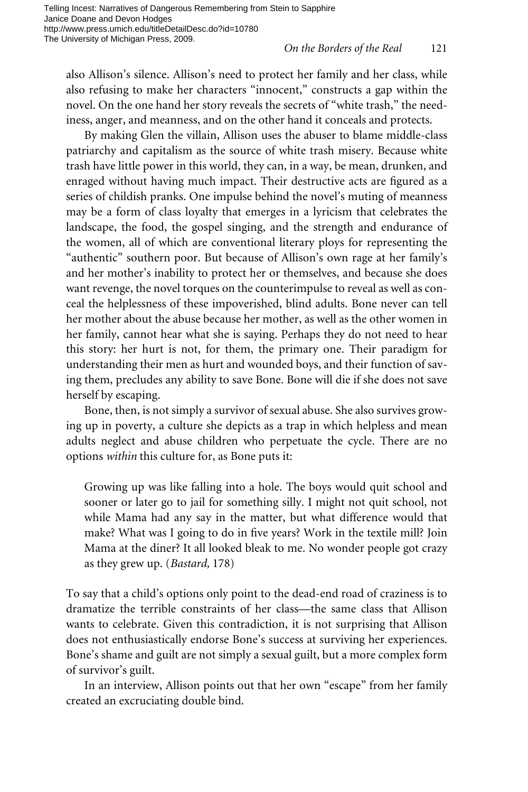also Allison's silence. Allison's need to protect her family and her class, while also refusing to make her characters "innocent," constructs a gap within the novel. On the one hand her story reveals the secrets of "white trash," the neediness, anger, and meanness, and on the other hand it conceals and protects.

By making Glen the villain, Allison uses the abuser to blame middle-class patriarchy and capitalism as the source of white trash misery. Because white trash have little power in this world, they can, in a way, be mean, drunken, and enraged without having much impact. Their destructive acts are figured as a series of childish pranks. One impulse behind the novel's muting of meanness may be a form of class loyalty that emerges in a lyricism that celebrates the landscape, the food, the gospel singing, and the strength and endurance of the women, all of which are conventional literary ploys for representing the "authentic" southern poor. But because of Allison's own rage at her family's and her mother's inability to protect her or themselves, and because she does want revenge, the novel torques on the counterimpulse to reveal as well as conceal the helplessness of these impoverished, blind adults. Bone never can tell her mother about the abuse because her mother, as well as the other women in her family, cannot hear what she is saying. Perhaps they do not need to hear this story: her hurt is not, for them, the primary one. Their paradigm for understanding their men as hurt and wounded boys, and their function of saving them, precludes any ability to save Bone. Bone will die if she does not save herself by escaping.

Bone, then, is not simply a survivor of sexual abuse. She also survives growing up in poverty, a culture she depicts as a trap in which helpless and mean adults neglect and abuse children who perpetuate the cycle. There are no options *within* this culture for, as Bone puts it:

Growing up was like falling into a hole. The boys would quit school and sooner or later go to jail for something silly. I might not quit school, not while Mama had any say in the matter, but what difference would that make? What was I going to do in five years? Work in the textile mill? Join Mama at the diner? It all looked bleak to me. No wonder people got crazy as they grew up. (*Bastard,* 178)

To say that a child's options only point to the dead-end road of craziness is to dramatize the terrible constraints of her class—the same class that Allison wants to celebrate. Given this contradiction, it is not surprising that Allison does not enthusiastically endorse Bone's success at surviving her experiences. Bone's shame and guilt are not simply a sexual guilt, but a more complex form of survivor's guilt.

In an interview, Allison points out that her own "escape" from her family created an excruciating double bind.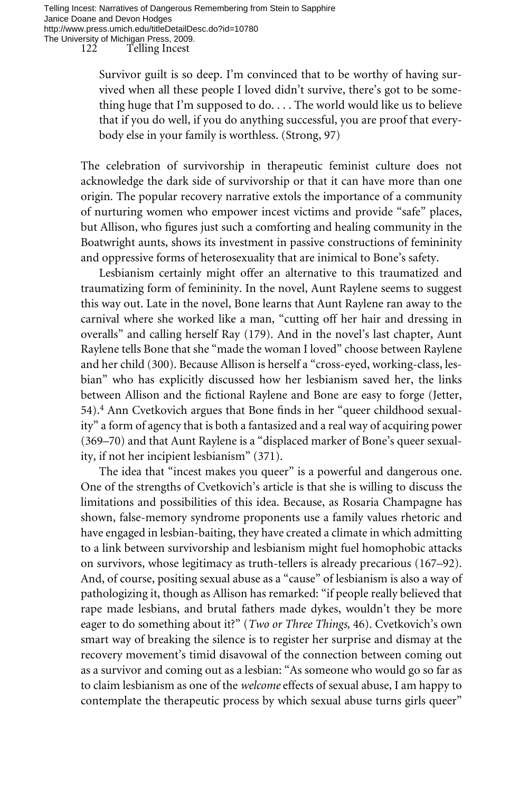Survivor guilt is so deep. I'm convinced that to be worthy of having survived when all these people I loved didn't survive, there's got to be something huge that I'm supposed to do. . . . The world would like us to believe that if you do well, if you do anything successful, you are proof that everybody else in your family is worthless. (Strong, 97)

The celebration of survivorship in therapeutic feminist culture does not acknowledge the dark side of survivorship or that it can have more than one origin. The popular recovery narrative extols the importance of a community of nurturing women who empower incest victims and provide "safe" places, but Allison, who figures just such a comforting and healing community in the Boatwright aunts, shows its investment in passive constructions of femininity and oppressive forms of heterosexuality that are inimical to Bone's safety.

Lesbianism certainly might offer an alternative to this traumatized and traumatizing form of femininity. In the novel, Aunt Raylene seems to suggest this way out. Late in the novel, Bone learns that Aunt Raylene ran away to the carnival where she worked like a man, "cutting off her hair and dressing in overalls" and calling herself Ray (179). And in the novel's last chapter, Aunt Raylene tells Bone that she "made the woman I loved" choose between Raylene and her child (300). Because Allison is herself a "cross-eyed, working-class, lesbian" who has explicitly discussed how her lesbianism saved her, the links between Allison and the fictional Raylene and Bone are easy to forge (Jetter, 54).<sup>4</sup> Ann Cvetkovich argues that Bone finds in her "queer childhood sexuality" a form of agency that is both a fantasized and a real way of acquiring power (369–70) and that Aunt Raylene is a "displaced marker of Bone's queer sexuality, if not her incipient lesbianism" (371).

The idea that "incest makes you queer" is a powerful and dangerous one. One of the strengths of Cvetkovich's article is that she is willing to discuss the limitations and possibilities of this idea. Because, as Rosaria Champagne has shown, false-memory syndrome proponents use a family values rhetoric and have engaged in lesbian-baiting, they have created a climate in which admitting to a link between survivorship and lesbianism might fuel homophobic attacks on survivors, whose legitimacy as truth-tellers is already precarious (167–92). And, of course, positing sexual abuse as a "cause" of lesbianism is also a way of pathologizing it, though as Allison has remarked: "if people really believed that rape made lesbians, and brutal fathers made dykes, wouldn't they be more eager to do something about it?" (*Two or Three Things,* 46). Cvetkovich's own smart way of breaking the silence is to register her surprise and dismay at the recovery movement's timid disavowal of the connection between coming out as a survivor and coming out as a lesbian: "As someone who would go so far as to claim lesbianism as one of the *welcome* effects of sexual abuse, I am happy to contemplate the therapeutic process by which sexual abuse turns girls queer"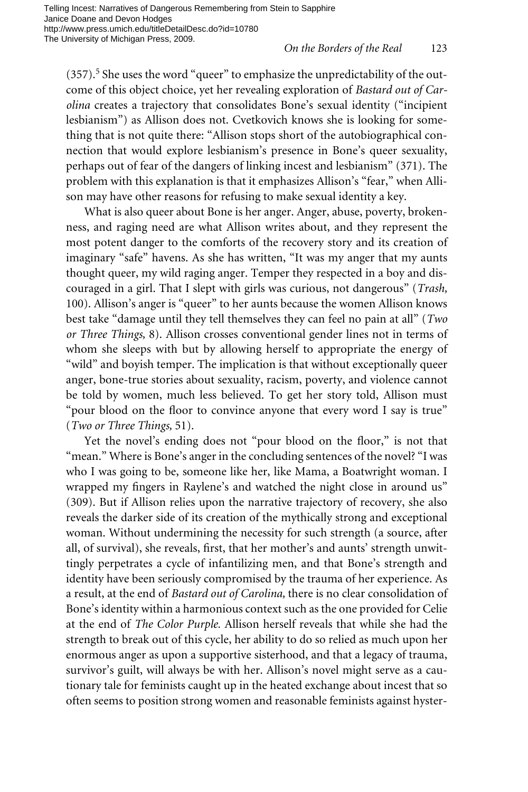$(357).$ <sup>5</sup> She uses the word "queer" to emphasize the unpredictability of the outcome of this object choice, yet her revealing exploration of *Bastard out of Carolina* creates a trajectory that consolidates Bone's sexual identity ("incipient lesbianism") as Allison does not. Cvetkovich knows she is looking for something that is not quite there: "Allison stops short of the autobiographical connection that would explore lesbianism's presence in Bone's queer sexuality, perhaps out of fear of the dangers of linking incest and lesbianism" (371). The problem with this explanation is that it emphasizes Allison's "fear," when Allison may have other reasons for refusing to make sexual identity a key.

What is also queer about Bone is her anger. Anger, abuse, poverty, brokenness, and raging need are what Allison writes about, and they represent the most potent danger to the comforts of the recovery story and its creation of imaginary "safe" havens. As she has written, "It was my anger that my aunts thought queer, my wild raging anger. Temper they respected in a boy and discouraged in a girl. That I slept with girls was curious, not dangerous" (*Trash,* 100). Allison's anger is "queer" to her aunts because the women Allison knows best take "damage until they tell themselves they can feel no pain at all" (*Two or Three Things,* 8). Allison crosses conventional gender lines not in terms of whom she sleeps with but by allowing herself to appropriate the energy of "wild" and boyish temper. The implication is that without exceptionally queer anger, bone-true stories about sexuality, racism, poverty, and violence cannot be told by women, much less believed. To get her story told, Allison must "pour blood on the floor to convince anyone that every word I say is true" (*Two or Three Things,* 51).

Yet the novel's ending does not "pour blood on the floor," is not that "mean." Where is Bone's anger in the concluding sentences of the novel? "I was who I was going to be, someone like her, like Mama, a Boatwright woman. I wrapped my fingers in Raylene's and watched the night close in around us" (309). But if Allison relies upon the narrative trajectory of recovery, she also reveals the darker side of its creation of the mythically strong and exceptional woman. Without undermining the necessity for such strength (a source, after all, of survival), she reveals, first, that her mother's and aunts' strength unwittingly perpetrates a cycle of infantilizing men, and that Bone's strength and identity have been seriously compromised by the trauma of her experience. As a result, at the end of *Bastard out of Carolina,* there is no clear consolidation of Bone's identity within a harmonious context such as the one provided for Celie at the end of *The Color Purple.* Allison herself reveals that while she had the strength to break out of this cycle, her ability to do so relied as much upon her enormous anger as upon a supportive sisterhood, and that a legacy of trauma, survivor's guilt, will always be with her. Allison's novel might serve as a cautionary tale for feminists caught up in the heated exchange about incest that so often seems to position strong women and reasonable feminists against hyster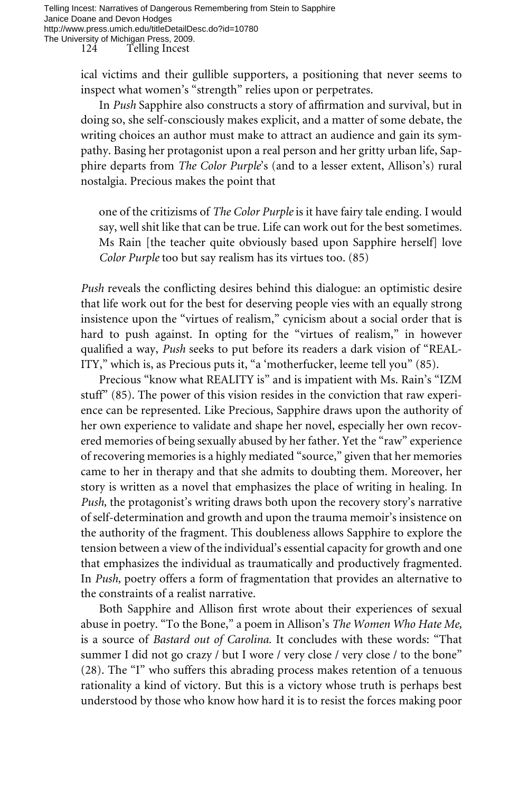ical victims and their gullible supporters, a positioning that never seems to inspect what women's "strength" relies upon or perpetrates.

In *Push* Sapphire also constructs a story of affirmation and survival, but in doing so, she self-consciously makes explicit, and a matter of some debate, the writing choices an author must make to attract an audience and gain its sympathy. Basing her protagonist upon a real person and her gritty urban life, Sapphire departs from *The Color Purple*'s (and to a lesser extent, Allison's) rural nostalgia. Precious makes the point that

one of the critizisms of *The Color Purple* is it have fairy tale ending. I would say, well shit like that can be true. Life can work out for the best sometimes. Ms Rain [the teacher quite obviously based upon Sapphire herself] love *Color Purple* too but say realism has its virtues too. (85)

*Push* reveals the conflicting desires behind this dialogue: an optimistic desire that life work out for the best for deserving people vies with an equally strong insistence upon the "virtues of realism," cynicism about a social order that is hard to push against. In opting for the "virtues of realism," in however qualified a way, *Push* seeks to put before its readers a dark vision of "REAL-ITY," which is, as Precious puts it, "a 'motherfucker, leeme tell you" (85).

Precious "know what REALITY is" and is impatient with Ms. Rain's "IZM stuff" (85). The power of this vision resides in the conviction that raw experience can be represented. Like Precious, Sapphire draws upon the authority of her own experience to validate and shape her novel, especially her own recovered memories of being sexually abused by her father. Yet the "raw" experience of recovering memories is a highly mediated "source," given that her memories came to her in therapy and that she admits to doubting them. Moreover, her story is written as a novel that emphasizes the place of writing in healing. In *Push,* the protagonist's writing draws both upon the recovery story's narrative of self-determination and growth and upon the trauma memoir's insistence on the authority of the fragment. This doubleness allows Sapphire to explore the tension between a view of the individual's essential capacity for growth and one that emphasizes the individual as traumatically and productively fragmented. In *Push,* poetry offers a form of fragmentation that provides an alternative to the constraints of a realist narrative.

Both Sapphire and Allison first wrote about their experiences of sexual abuse in poetry. "To the Bone," a poem in Allison's *The Women Who Hate Me,* is a source of *Bastard out of Carolina.* It concludes with these words: "That summer I did not go crazy / but I wore / very close / very close / to the bone" (28). The "I" who suffers this abrading process makes retention of a tenuous rationality a kind of victory. But this is a victory whose truth is perhaps best understood by those who know how hard it is to resist the forces making poor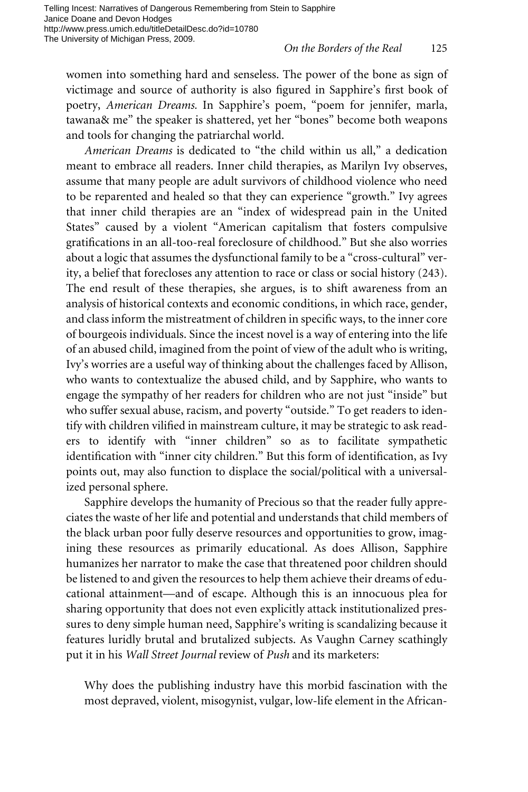women into something hard and senseless. The power of the bone as sign of victimage and source of authority is also figured in Sapphire's first book of poetry, *American Dreams.* In Sapphire's poem, "poem for jennifer, marla, tawana& me" the speaker is shattered, yet her "bones" become both weapons and tools for changing the patriarchal world.

*American Dreams* is dedicated to "the child within us all," a dedication meant to embrace all readers. Inner child therapies, as Marilyn Ivy observes, assume that many people are adult survivors of childhood violence who need to be reparented and healed so that they can experience "growth." Ivy agrees that inner child therapies are an "index of widespread pain in the United States" caused by a violent "American capitalism that fosters compulsive gratifications in an all-too-real foreclosure of childhood." But she also worries about a logic that assumes the dysfunctional family to be a "cross-cultural" verity, a belief that forecloses any attention to race or class or social history (243). The end result of these therapies, she argues, is to shift awareness from an analysis of historical contexts and economic conditions, in which race, gender, and class inform the mistreatment of children in specific ways, to the inner core of bourgeois individuals. Since the incest novel is a way of entering into the life of an abused child, imagined from the point of view of the adult who is writing, Ivy's worries are a useful way of thinking about the challenges faced by Allison, who wants to contextualize the abused child, and by Sapphire, who wants to engage the sympathy of her readers for children who are not just "inside" but who suffer sexual abuse, racism, and poverty "outside." To get readers to identify with children vilified in mainstream culture, it may be strategic to ask readers to identify with "inner children" so as to facilitate sympathetic identification with "inner city children." But this form of identification, as Ivy points out, may also function to displace the social/political with a universalized personal sphere.

Sapphire develops the humanity of Precious so that the reader fully appreciates the waste of her life and potential and understands that child members of the black urban poor fully deserve resources and opportunities to grow, imagining these resources as primarily educational. As does Allison, Sapphire humanizes her narrator to make the case that threatened poor children should be listened to and given the resources to help them achieve their dreams of educational attainment—and of escape. Although this is an innocuous plea for sharing opportunity that does not even explicitly attack institutionalized pressures to deny simple human need, Sapphire's writing is scandalizing because it features luridly brutal and brutalized subjects. As Vaughn Carney scathingly put it in his *Wall Street Journal* review of *Push* and its marketers:

Why does the publishing industry have this morbid fascination with the most depraved, violent, misogynist, vulgar, low-life element in the African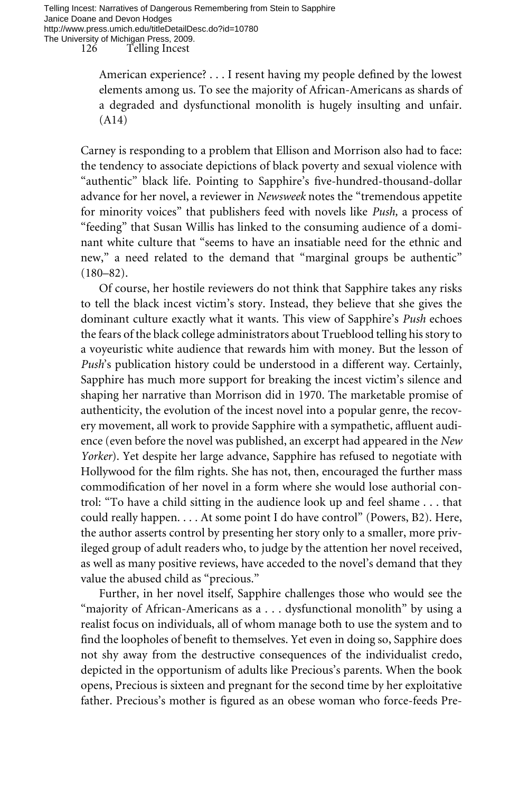American experience? . . . I resent having my people defined by the lowest elements among us. To see the majority of African-Americans as shards of a degraded and dysfunctional monolith is hugely insulting and unfair. (A14)

Carney is responding to a problem that Ellison and Morrison also had to face: the tendency to associate depictions of black poverty and sexual violence with "authentic" black life. Pointing to Sapphire's five-hundred-thousand-dollar advance for her novel, a reviewer in *Newsweek* notes the "tremendous appetite for minority voices" that publishers feed with novels like *Push,* a process of "feeding" that Susan Willis has linked to the consuming audience of a dominant white culture that "seems to have an insatiable need for the ethnic and new," a need related to the demand that "marginal groups be authentic" (180–82).

Of course, her hostile reviewers do not think that Sapphire takes any risks to tell the black incest victim's story. Instead, they believe that she gives the dominant culture exactly what it wants. This view of Sapphire's *Push* echoes the fears of the black college administrators about Trueblood telling his story to a voyeuristic white audience that rewards him with money. But the lesson of *Push*'s publication history could be understood in a different way. Certainly, Sapphire has much more support for breaking the incest victim's silence and shaping her narrative than Morrison did in 1970. The marketable promise of authenticity, the evolution of the incest novel into a popular genre, the recovery movement, all work to provide Sapphire with a sympathetic, affluent audience (even before the novel was published, an excerpt had appeared in the *New Yorker*). Yet despite her large advance, Sapphire has refused to negotiate with Hollywood for the film rights. She has not, then, encouraged the further mass commodification of her novel in a form where she would lose authorial control: "To have a child sitting in the audience look up and feel shame . . . that could really happen. . . . At some point I do have control" (Powers, B2). Here, the author asserts control by presenting her story only to a smaller, more privileged group of adult readers who, to judge by the attention her novel received, as well as many positive reviews, have acceded to the novel's demand that they value the abused child as "precious."

Further, in her novel itself, Sapphire challenges those who would see the "majority of African-Americans as a . . . dysfunctional monolith" by using a realist focus on individuals, all of whom manage both to use the system and to find the loopholes of benefit to themselves. Yet even in doing so, Sapphire does not shy away from the destructive consequences of the individualist credo, depicted in the opportunism of adults like Precious's parents. When the book opens, Precious is sixteen and pregnant for the second time by her exploitative father. Precious's mother is figured as an obese woman who force-feeds Pre-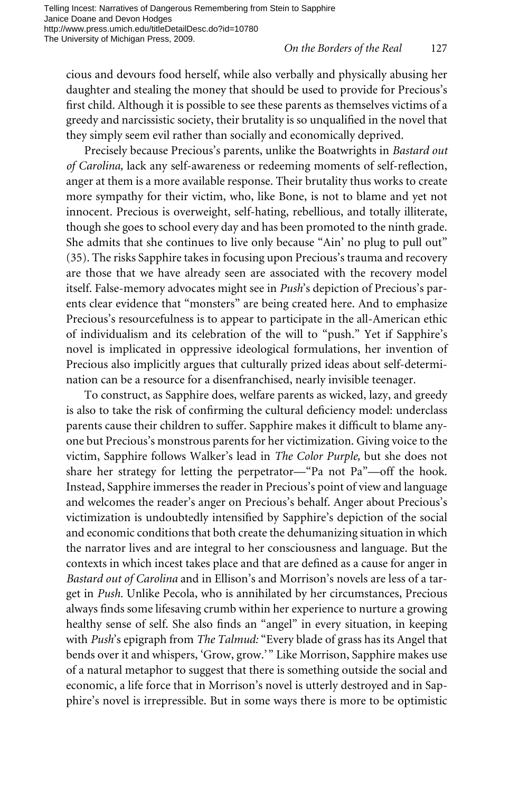## *On the Borders of the Real* 127

cious and devours food herself, while also verbally and physically abusing her daughter and stealing the money that should be used to provide for Precious's first child. Although it is possible to see these parents as themselves victims of a greedy and narcissistic society, their brutality is so unqualified in the novel that they simply seem evil rather than socially and economically deprived.

Precisely because Precious's parents, unlike the Boatwrights in *Bastard out of Carolina*, lack any self-awareness or redeeming moments of self-reflection, anger at them is a more available response. Their brutality thus works to create more sympathy for their victim, who, like Bone, is not to blame and yet not innocent. Precious is overweight, self-hating, rebellious, and totally illiterate, though she goes to school every day and has been promoted to the ninth grade. She admits that she continues to live only because "Ain' no plug to pull out" (35). The risks Sapphire takes in focusing upon Precious's trauma and recovery are those that we have already seen are associated with the recovery model itself. False-memory advocates might see in *Push*'s depiction of Precious's parents clear evidence that "monsters" are being created here. And to emphasize Precious's resourcefulness is to appear to participate in the all-American ethic of individualism and its celebration of the will to "push." Yet if Sapphire's novel is implicated in oppressive ideological formulations, her invention of Precious also implicitly argues that culturally prized ideas about self-determination can be a resource for a disenfranchised, nearly invisible teenager.

To construct, as Sapphire does, welfare parents as wicked, lazy, and greedy is also to take the risk of confirming the cultural deficiency model: underclass parents cause their children to suffer. Sapphire makes it difficult to blame anyone but Precious's monstrous parents for her victimization. Giving voice to the victim, Sapphire follows Walker's lead in *The Color Purple,* but she does not share her strategy for letting the perpetrator—"Pa not Pa"—off the hook. Instead, Sapphire immerses the reader in Precious's point of view and language and welcomes the reader's anger on Precious's behalf. Anger about Precious's victimization is undoubtedly intensified by Sapphire's depiction of the social and economic conditions that both create the dehumanizing situation in which the narrator lives and are integral to her consciousness and language. But the contexts in which incest takes place and that are defined as a cause for anger in *Bastard out of Carolina* and in Ellison's and Morrison's novels are less of a target in *Push.* Unlike Pecola, who is annihilated by her circumstances, Precious always finds some lifesaving crumb within her experience to nurture a growing healthy sense of self. She also finds an "angel" in every situation, in keeping with *Push*'s epigraph from *The Talmud:* "Every blade of grass has its Angel that bends over it and whispers, 'Grow, grow.'" Like Morrison, Sapphire makes use of a natural metaphor to suggest that there is something outside the social and economic, a life force that in Morrison's novel is utterly destroyed and in Sapphire's novel is irrepressible. But in some ways there is more to be optimistic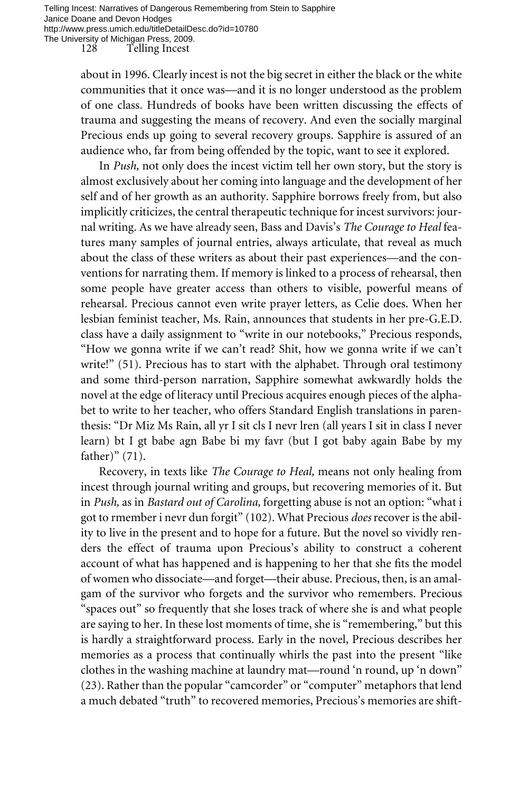about in 1996. Clearly incest is not the big secret in either the black or the white communities that it once was—and it is no longer understood as the problem of one class. Hundreds of books have been written discussing the effects of trauma and suggesting the means of recovery. And even the socially marginal Precious ends up going to several recovery groups. Sapphire is assured of an audience who, far from being offended by the topic, want to see it explored.

In *Push,* not only does the incest victim tell her own story, but the story is almost exclusively about her coming into language and the development of her self and of her growth as an authority. Sapphire borrows freely from, but also implicitly criticizes, the central therapeutic technique for incest survivors: journal writing. As we have already seen, Bass and Davis's *The Courage to Heal* features many samples of journal entries, always articulate, that reveal as much about the class of these writers as about their past experiences—and the conventions for narrating them. If memory is linked to a process of rehearsal, then some people have greater access than others to visible, powerful means of rehearsal. Precious cannot even write prayer letters, as Celie does. When her lesbian feminist teacher, Ms. Rain, announces that students in her pre-G.E.D. class have a daily assignment to "write in our notebooks," Precious responds, "How we gonna write if we can't read? Shit, how we gonna write if we can't write!" (51). Precious has to start with the alphabet. Through oral testimony and some third-person narration, Sapphire somewhat awkwardly holds the novel at the edge of literacy until Precious acquires enough pieces of the alphabet to write to her teacher, who offers Standard English translations in parenthesis: "Dr Miz Ms Rain, all yr I sit cls I nevr lren (all years I sit in class I never learn) bt I gt babe agn Babe bi my favr (but I got baby again Babe by my father)" (71).

Recovery, in texts like *The Courage to Heal,* means not only healing from incest through journal writing and groups, but recovering memories of it. But in *Push,* as in *Bastard out of Carolina,* forgetting abuse is not an option: "what i got to rmember i nevr dun forgit" (102). What Precious *does* recover is the ability to live in the present and to hope for a future. But the novel so vividly renders the effect of trauma upon Precious's ability to construct a coherent account of what has happened and is happening to her that she fits the model of women who dissociate—and forget—their abuse. Precious, then, is an amalgam of the survivor who forgets and the survivor who remembers. Precious "spaces out" so frequently that she loses track of where she is and what people are saying to her. In these lost moments of time, she is "remembering," but this is hardly a straightforward process. Early in the novel, Precious describes her memories as a process that continually whirls the past into the present "like clothes in the washing machine at laundry mat—round 'n round, up 'n down" (23). Rather than the popular "camcorder" or "computer" metaphors that lend a much debated "truth" to recovered memories, Precious's memories are shift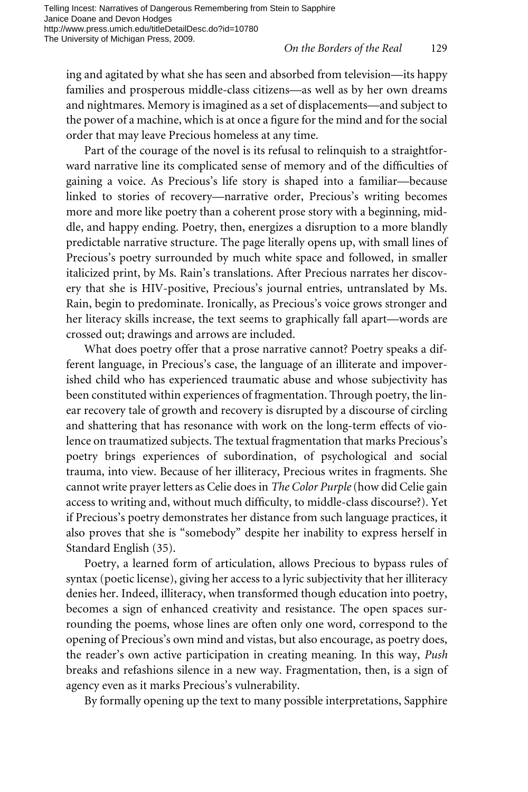ing and agitated by what she has seen and absorbed from television—its happy families and prosperous middle-class citizens—as well as by her own dreams and nightmares. Memory is imagined as a set of displacements—and subject to the power of a machine, which is at once a figure for the mind and for the social order that may leave Precious homeless at any time.

Part of the courage of the novel is its refusal to relinquish to a straightforward narrative line its complicated sense of memory and of the difficulties of gaining a voice. As Precious's life story is shaped into a familiar—because linked to stories of recovery—narrative order, Precious's writing becomes more and more like poetry than a coherent prose story with a beginning, middle, and happy ending. Poetry, then, energizes a disruption to a more blandly predictable narrative structure. The page literally opens up, with small lines of Precious's poetry surrounded by much white space and followed, in smaller italicized print, by Ms. Rain's translations. After Precious narrates her discovery that she is HIV-positive, Precious's journal entries, untranslated by Ms. Rain, begin to predominate. Ironically, as Precious's voice grows stronger and her literacy skills increase, the text seems to graphically fall apart—words are crossed out; drawings and arrows are included.

What does poetry offer that a prose narrative cannot? Poetry speaks a different language, in Precious's case, the language of an illiterate and impoverished child who has experienced traumatic abuse and whose subjectivity has been constituted within experiences of fragmentation. Through poetry, the linear recovery tale of growth and recovery is disrupted by a discourse of circling and shattering that has resonance with work on the long-term effects of violence on traumatized subjects. The textual fragmentation that marks Precious's poetry brings experiences of subordination, of psychological and social trauma, into view. Because of her illiteracy, Precious writes in fragments. She cannot write prayer letters as Celie does in *The Color Purple*(how did Celie gain access to writing and, without much difficulty, to middle-class discourse?). Yet if Precious's poetry demonstrates her distance from such language practices, it also proves that she is "somebody" despite her inability to express herself in Standard English (35).

Poetry, a learned form of articulation, allows Precious to bypass rules of syntax (poetic license), giving her access to a lyric subjectivity that her illiteracy denies her. Indeed, illiteracy, when transformed though education into poetry, becomes a sign of enhanced creativity and resistance. The open spaces surrounding the poems, whose lines are often only one word, correspond to the opening of Precious's own mind and vistas, but also encourage, as poetry does, the reader's own active participation in creating meaning. In this way, *Push* breaks and refashions silence in a new way. Fragmentation, then, is a sign of agency even as it marks Precious's vulnerability.

By formally opening up the text to many possible interpretations, Sapphire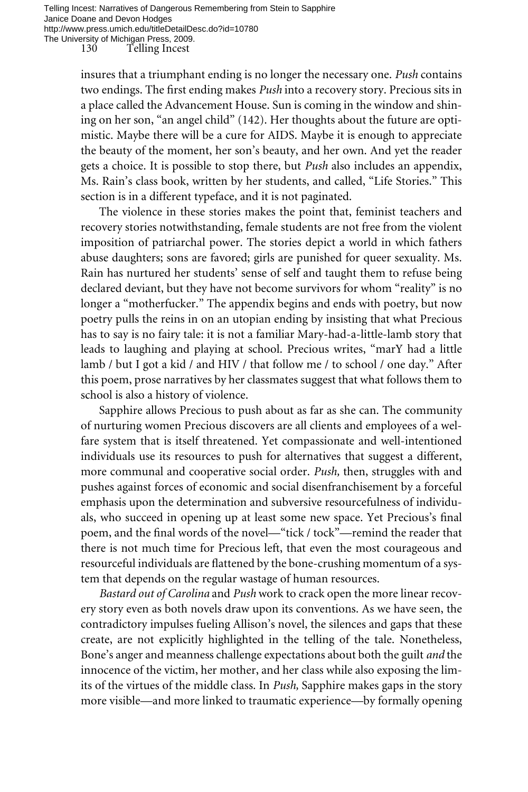insures that a triumphant ending is no longer the necessary one. *Push* contains two endings. The first ending makes *Push* into a recovery story. Precious sits in a place called the Advancement House. Sun is coming in the window and shining on her son, "an angel child" (142). Her thoughts about the future are optimistic. Maybe there will be a cure for AIDS. Maybe it is enough to appreciate the beauty of the moment, her son's beauty, and her own. And yet the reader gets a choice. It is possible to stop there, but *Push* also includes an appendix, Ms. Rain's class book, written by her students, and called, "Life Stories." This section is in a different typeface, and it is not paginated.

The violence in these stories makes the point that, feminist teachers and recovery stories notwithstanding, female students are not free from the violent imposition of patriarchal power. The stories depict a world in which fathers abuse daughters; sons are favored; girls are punished for queer sexuality. Ms. Rain has nurtured her students' sense of self and taught them to refuse being declared deviant, but they have not become survivors for whom "reality" is no longer a "motherfucker." The appendix begins and ends with poetry, but now poetry pulls the reins in on an utopian ending by insisting that what Precious has to say is no fairy tale: it is not a familiar Mary-had-a-little-lamb story that leads to laughing and playing at school. Precious writes, "marY had a little lamb / but I got a kid / and HIV / that follow me / to school / one day." After this poem, prose narratives by her classmates suggest that what follows them to school is also a history of violence.

Sapphire allows Precious to push about as far as she can. The community of nurturing women Precious discovers are all clients and employees of a welfare system that is itself threatened. Yet compassionate and well-intentioned individuals use its resources to push for alternatives that suggest a different, more communal and cooperative social order. *Push,* then, struggles with and pushes against forces of economic and social disenfranchisement by a forceful emphasis upon the determination and subversive resourcefulness of individuals, who succeed in opening up at least some new space. Yet Precious's final poem, and the final words of the novel—"tick / tock"—remind the reader that there is not much time for Precious left, that even the most courageous and resourceful individuals are flattened by the bone-crushing momentum of a system that depends on the regular wastage of human resources.

*Bastard out of Carolina* and *Push* work to crack open the more linear recovery story even as both novels draw upon its conventions. As we have seen, the contradictory impulses fueling Allison's novel, the silences and gaps that these create, are not explicitly highlighted in the telling of the tale. Nonetheless, Bone's anger and meanness challenge expectations about both the guilt *and* the innocence of the victim, her mother, and her class while also exposing the limits of the virtues of the middle class. In *Push,* Sapphire makes gaps in the story more visible—and more linked to traumatic experience—by formally opening